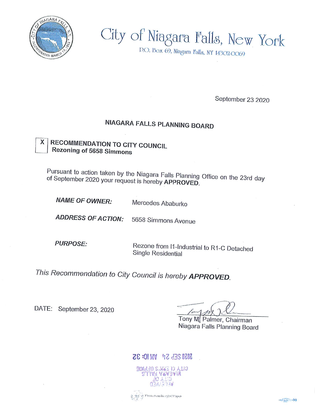

# City of Niagara Falls, New York

D.O. Box 69, Niagara l'alls, NY 14302-0069

September 23 2020

## NIAGARA FALLS PLANNING BOARD

#### **RECOMMENDATION TO CITY COUNCIL** X Rezoning of 5658 Simmons

Pursuant to action taken by the Niagara Falls Planning Office on the 23rd day of September 2020 your request is hereby APPROVED.

**NAME OF OWNER:** Mercedes Ababurko

**ADDRESS OF ACTION:** 5658 Simmons Avenue

**PURPOSE:** 

Rezone from 11-Industrial to R1-C Detached Single Residential

This Recommendation to City Council is hereby APPROVED.

DATE: September 23, 2020

Tony M Palmer, Chairman Niagara Falls Planning Board

### 28:01 MA 45 438 6268



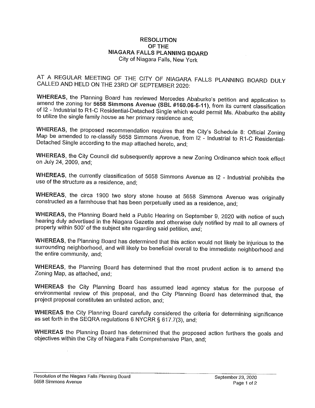#### RESOLUTION<br>OF THE OF THE NIAGARA FALLS PLANNING BOARD City of Niagara Falls, New York

AT A REGULAR MEETING OF THE CITY OF NIAGARA FALLS PLANNING BOARD DULY CALLED AND HELD ON THE 23RD OF SEPTEMBER 2020:

WHEREAS, the Planning Board has reviewed Mercedes Ababurko's petition and application to<br>amend the zoning for 5658 Simmons Avenue (SBL #160.06-5-11), from its current classification  $\alpha$  is a set of  $\alpha$  Simmons Avenue (SBL  $\#100.06-5-11$ ), from its current classification of 12 - industrial to R1-C Residential-Detached Single which would permit Ms. Ababurko the ability to utilize the single family house as her primary residence and;

WHEREAS, the proposed recommendation requires that the City's Schedule 8: Official Zoning  $\frac{1}{2}$  becomes the state of  $\frac{1}{2}$  Simmons Avenue, from 12 - Industrial to R1-C Residential-Detached Single according to the map attached hereto, and;

WHEREAS, the City Council did subsequently approve a new Zoning Ordinance which took effect on July 24, 2009, and;

WHEREAS, the currently classification of 5658 Simmons Avenue as 12 - Industrial prohibits the use of the structure as a residence, and;

WHEREAS, the circa 1900 two story stone house at 5658 Simmons Avenue was originally constructed as a farmhouse that has been perpetually used as a residence, and;

 $\frac{m}{\sqrt{m}}$  and  $\frac{m}{m}$  board held a Public Hearing on September 9, 2020 with notice of such hearing duly advertised In the Niagara Gazette and otherwise duly notified by mail to alf owners of property within 500' of the subject site regarding said petition, and;

where the Planning Board has determined that this action would not likely be injurious to the surrounding neighborhood, and will likely be beneficial overall to the immediate neighborhood and the entire community, and;

WHEREAS, the Planning Board has determined that the most prudent action is to amend the Zoning Map, as attached, and;

where city planning Board has assumed lead agency status for the purpose of  $\frac{m}{2}$  review of this proposal, and the City Planning Board has determined that, the project proposal constitutes an unlisted action, and;

WHEREAS the City Planning Board carefully considered the criteria for determining significance as set forth in the SEQRA regulations 6 NYCRR § 617.7(3), and;

WHEREAS the Planning Board has determined that the proposed action furthers the goals and objectives within the City of Niagara Falls Comprehensive Plan, and;